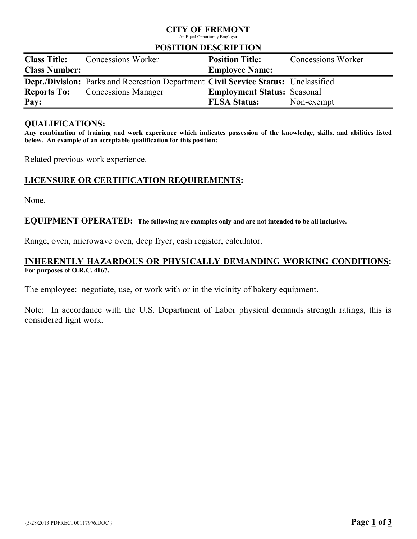# CITY OF FREMONT

An Equal Opportunity Employer

#### POSITION DESCRIPTION

| <b>Class Title:</b>  | <b>Concessions Worker</b>                                                          | <b>Position Title:</b>             | <b>Concessions Worker</b> |
|----------------------|------------------------------------------------------------------------------------|------------------------------------|---------------------------|
| <b>Class Number:</b> |                                                                                    | <b>Employee Name:</b>              |                           |
|                      | Dept./Division: Parks and Recreation Department Civil Service Status: Unclassified |                                    |                           |
|                      | <b>Reports To:</b> Concessions Manager                                             | <b>Employment Status: Seasonal</b> |                           |
| Pay:                 |                                                                                    | <b>FLSA Status:</b>                | Non-exempt                |

### QUALIFICATIONS:

Any combination of training and work experience which indicates possession of the knowledge, skills, and abilities listed below. An example of an acceptable qualification for this position:

Related previous work experience.

# LICENSURE OR CERTIFICATION REQUIREMENTS:

None.

### EQUIPMENT OPERATED: The following are examples only and are not intended to be all inclusive.

Range, oven, microwave oven, deep fryer, cash register, calculator.

## INHERENTLY HAZARDOUS OR PHYSICALLY DEMANDING WORKING CONDITIONS: For purposes of O.R.C. 4167.

The employee: negotiate, use, or work with or in the vicinity of bakery equipment.

Note: In accordance with the U.S. Department of Labor physical demands strength ratings, this is considered light work.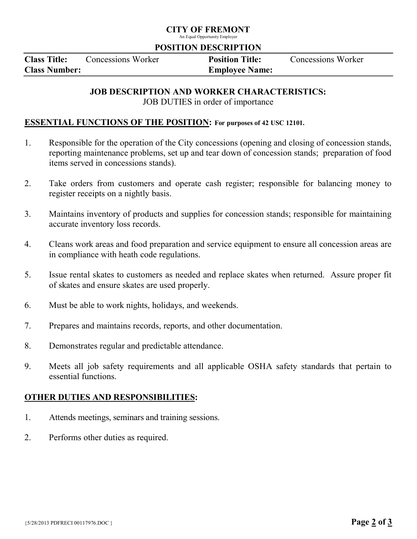## CITY OF FREMONT

An Equal Opportunity Employer

#### POSITION DESCRIPTION

| <b>Class Title:</b>  | Concessions Worker | <b>Position Title:</b> | Concessions Worker |
|----------------------|--------------------|------------------------|--------------------|
| <b>Class Number:</b> |                    | <b>Employee Name:</b>  |                    |

### JOB DESCRIPTION AND WORKER CHARACTERISTICS:

JOB DUTIES in order of importance

### ESSENTIAL FUNCTIONS OF THE POSITION: For purposes of 42 USC 12101.

- 1. Responsible for the operation of the City concessions (opening and closing of concession stands, reporting maintenance problems, set up and tear down of concession stands; preparation of food items served in concessions stands).
- 2. Take orders from customers and operate cash register; responsible for balancing money to register receipts on a nightly basis.
- 3. Maintains inventory of products and supplies for concession stands; responsible for maintaining accurate inventory loss records.
- 4. Cleans work areas and food preparation and service equipment to ensure all concession areas are in compliance with heath code regulations.
- 5. Issue rental skates to customers as needed and replace skates when returned. Assure proper fit of skates and ensure skates are used properly.
- 6. Must be able to work nights, holidays, and weekends.
- 7. Prepares and maintains records, reports, and other documentation.
- 8. Demonstrates regular and predictable attendance.
- 9. Meets all job safety requirements and all applicable OSHA safety standards that pertain to essential functions.

# OTHER DUTIES AND RESPONSIBILITIES:

- 1. Attends meetings, seminars and training sessions.
- 2. Performs other duties as required.